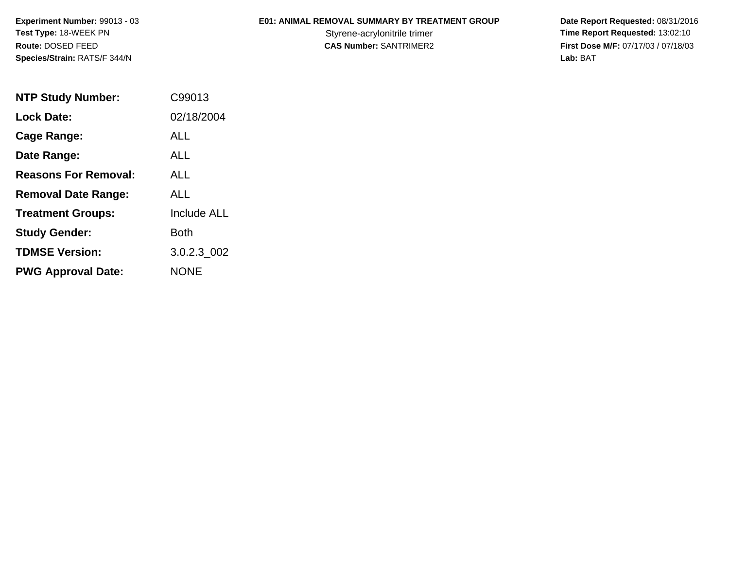**Experiment Number:** 99013 - 03**Test Type:** 18-WEEK PN**Route:** DOSED FEED**Species/Strain:** RATS/F 344/N

## **E01: ANIMAL REMOVAL SUMMARY BY TREATMENT GROUP**

 **Date Report Requested:** 08/31/2016 Styrene-acrylonitrile trimer<br>
CAS Number: SANTRIMER2<br>
CAS Number: SANTRIMER2<br>
Tirst Dose M/F: 07/17/03 / 07/18/03 **First Dose M/F:** 07/17/03 / 07/18/03<br>Lab: BAT **Lab:** BAT

| <b>NTP Study Number:</b>    | C99013             |
|-----------------------------|--------------------|
| <b>Lock Date:</b>           | 02/18/2004         |
| Cage Range:                 | ALL                |
| Date Range:                 | AI I               |
| <b>Reasons For Removal:</b> | AI I               |
| <b>Removal Date Range:</b>  | ALL                |
| <b>Treatment Groups:</b>    | <b>Include ALL</b> |
| <b>Study Gender:</b>        | <b>Both</b>        |
| <b>TDMSE Version:</b>       | 3.0.2.3 002        |
| <b>PWG Approval Date:</b>   | <b>NONE</b>        |